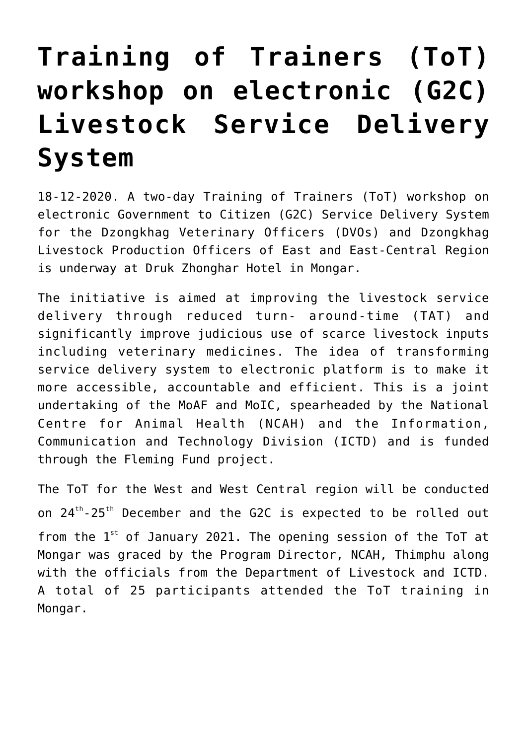## **[Training of Trainers \(ToT\)](https://www.dol.gov.bt/training-of-trainers-tot-workshop-on-electronic-g2c-livestock-service-delivery-system/) [workshop on electronic \(G2C\)](https://www.dol.gov.bt/training-of-trainers-tot-workshop-on-electronic-g2c-livestock-service-delivery-system/) [Livestock Service Delivery](https://www.dol.gov.bt/training-of-trainers-tot-workshop-on-electronic-g2c-livestock-service-delivery-system/) [System](https://www.dol.gov.bt/training-of-trainers-tot-workshop-on-electronic-g2c-livestock-service-delivery-system/)**

18-12-2020. A two-day Training of Trainers (ToT) workshop on electronic Government to Citizen (G2C) Service Delivery System for the Dzongkhag Veterinary Officers (DVOs) and Dzongkhag Livestock Production Officers of East and East-Central Region is underway at Druk Zhonghar Hotel in Mongar.

The initiative is aimed at improving the livestock service delivery through reduced turn- around-time (TAT) and significantly improve judicious use of scarce livestock inputs including veterinary medicines. The idea of transforming service delivery system to electronic platform is to make it more accessible, accountable and efficient. This is a joint undertaking of the MoAF and MoIC, spearheaded by the National Centre for Animal Health (NCAH) and the Information, Communication and Technology Division (ICTD) and is funded through the Fleming Fund project.

The ToT for the West and West Central region will be conducted on 24<sup>th</sup>-25<sup>th</sup> December and the G2C is expected to be rolled out from the  $1^{st}$  of January 2021. The opening session of the ToT at Mongar was graced by the Program Director, NCAH, Thimphu along with the officials from the Department of Livestock and ICTD. A total of 25 participants attended the ToT training in Mongar.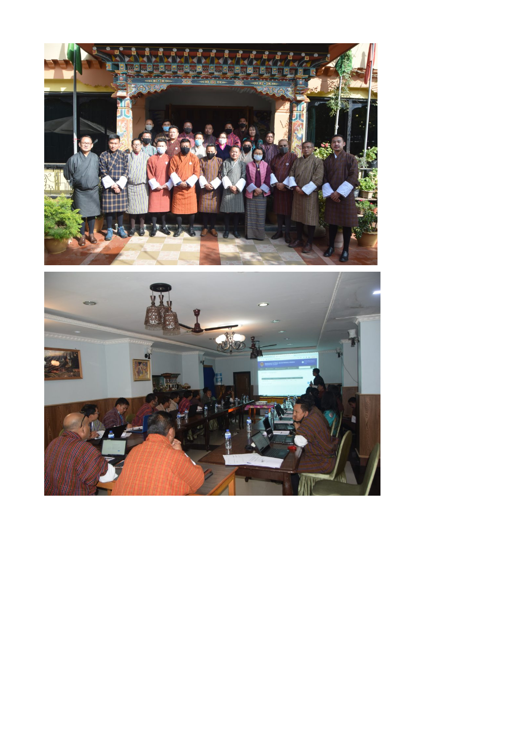